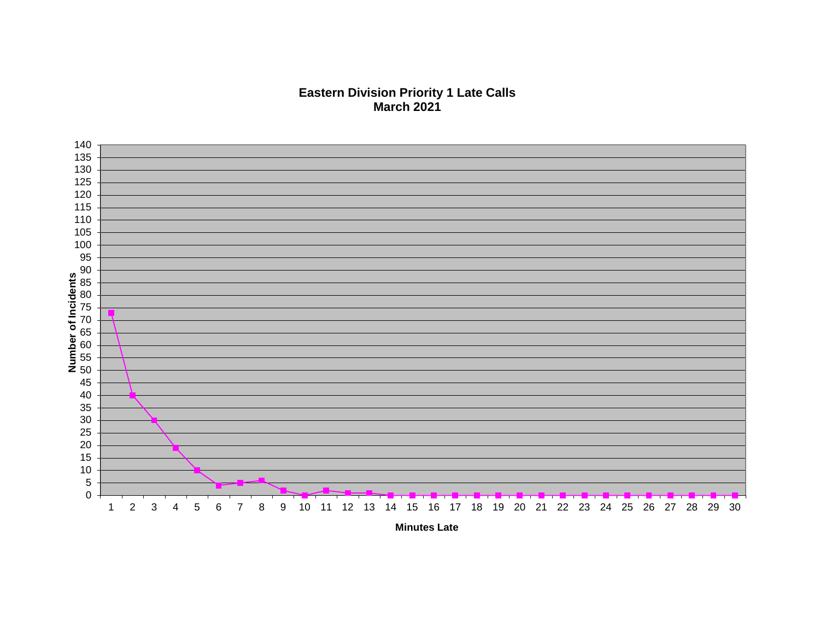## **Eastern Division Priority 1 Late Calls March 2021**



**Minutes Late**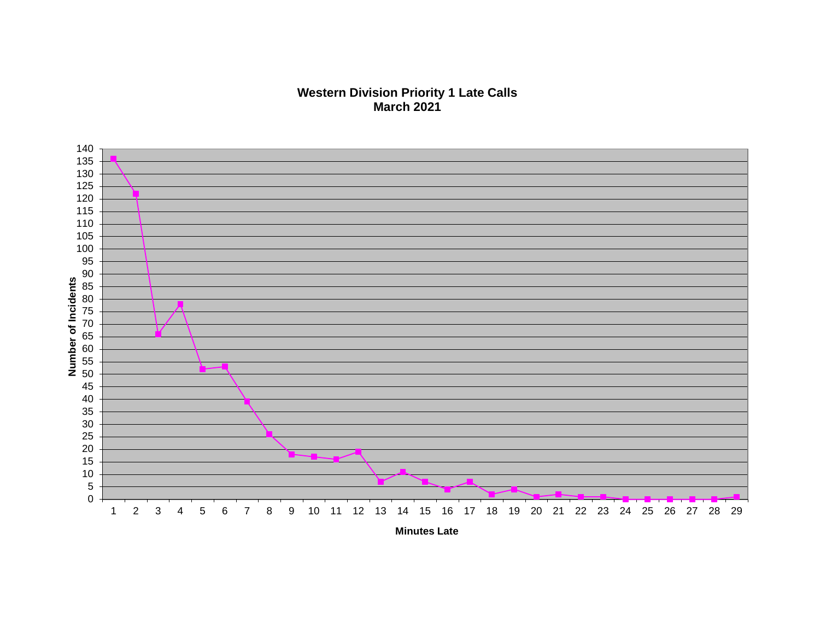## **Western Division Priority 1 Late Calls March 2021**